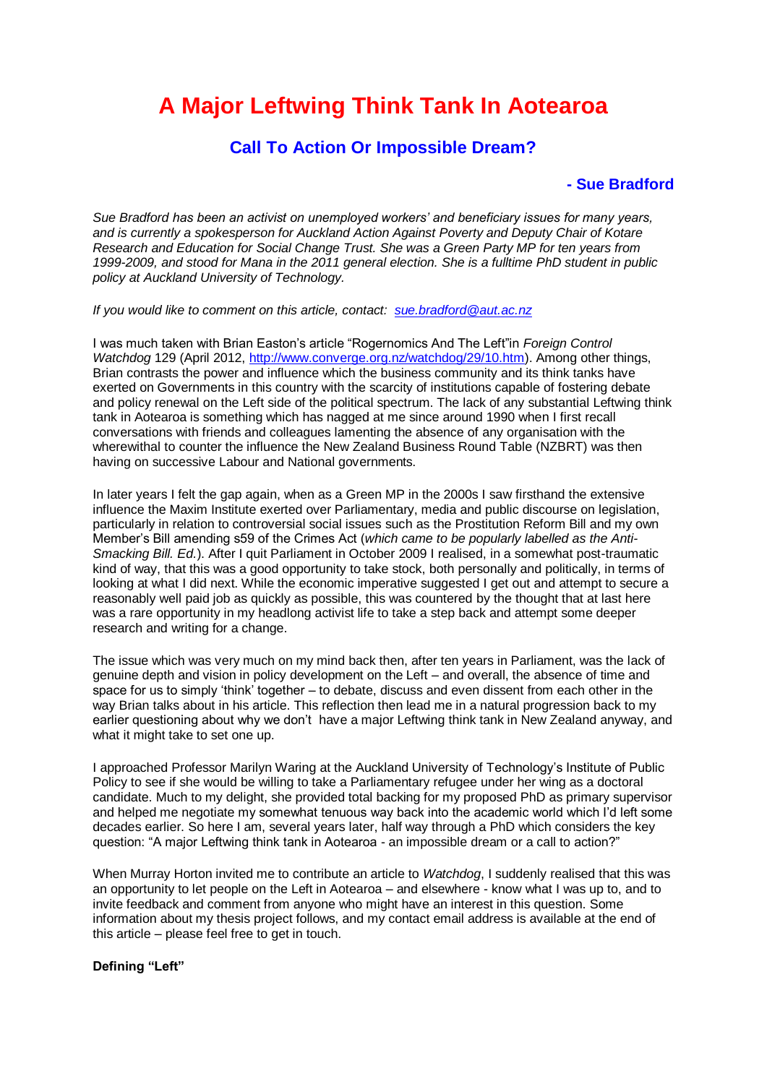# **A Major Leftwing Think Tank In Aotearoa**

# **Call To Action Or Impossible Dream?**

# **- Sue Bradford**

*Sue Bradford has been an activist on unemployed workers' and beneficiary issues for many years, and is currently a spokesperson for Auckland Action Against Poverty and Deputy Chair of Kotare Research and Education for Social Change Trust. She was a Green Party MP for ten years from 1999-2009, and stood for Mana in the 2011 general election. She is a fulltime PhD student in public policy at Auckland University of Technology.*

*If you would like to comment on this article, contact: [sue.bradford@aut.ac.nz](mailto:sue.bradford@aut.ac.nz)*

I was much taken with Brian Easton's article "Rogernomics And The Left"in *Foreign Control Watchdog* 129 (April 2012, [http://www.converge.org.nz/watchdog/29/10.htm\)](http://www.converge.org.nz/watchdog/29/10.htm). Among other things, Brian contrasts the power and influence which the business community and its think tanks have exerted on Governments in this country with the scarcity of institutions capable of fostering debate and policy renewal on the Left side of the political spectrum. The lack of any substantial Leftwing think tank in Aotearoa is something which has nagged at me since around 1990 when I first recall conversations with friends and colleagues lamenting the absence of any organisation with the wherewithal to counter the influence the New Zealand Business Round Table (NZBRT) was then having on successive Labour and National governments.

In later years I felt the gap again, when as a Green MP in the 2000s I saw firsthand the extensive influence the Maxim Institute exerted over Parliamentary, media and public discourse on legislation, particularly in relation to controversial social issues such as the Prostitution Reform Bill and my own Member's Bill amending s59 of the Crimes Act (*which came to be popularly labelled as the Anti-Smacking Bill. Ed.*). After I quit Parliament in October 2009 I realised, in a somewhat post-traumatic kind of way, that this was a good opportunity to take stock, both personally and politically, in terms of looking at what I did next. While the economic imperative suggested I get out and attempt to secure a reasonably well paid job as quickly as possible, this was countered by the thought that at last here was a rare opportunity in my headlong activist life to take a step back and attempt some deeper research and writing for a change.

The issue which was very much on my mind back then, after ten years in Parliament, was the lack of genuine depth and vision in policy development on the Left – and overall, the absence of time and space for us to simply 'think' together – to debate, discuss and even dissent from each other in the way Brian talks about in his article. This reflection then lead me in a natural progression back to my earlier questioning about why we don't have a major Leftwing think tank in New Zealand anyway, and what it might take to set one up.

I approached Professor Marilyn Waring at the Auckland University of Technology's Institute of Public Policy to see if she would be willing to take a Parliamentary refugee under her wing as a doctoral candidate. Much to my delight, she provided total backing for my proposed PhD as primary supervisor and helped me negotiate my somewhat tenuous way back into the academic world which I'd left some decades earlier. So here I am, several years later, half way through a PhD which considers the key question: "A major Leftwing think tank in Aotearoa - an impossible dream or a call to action?"

When Murray Horton invited me to contribute an article to *Watchdog*, I suddenly realised that this was an opportunity to let people on the Left in Aotearoa – and elsewhere - know what I was up to, and to invite feedback and comment from anyone who might have an interest in this question. Some information about my thesis project follows, and my contact email address is available at the end of this article – please feel free to get in touch.

#### **Defining "Left"**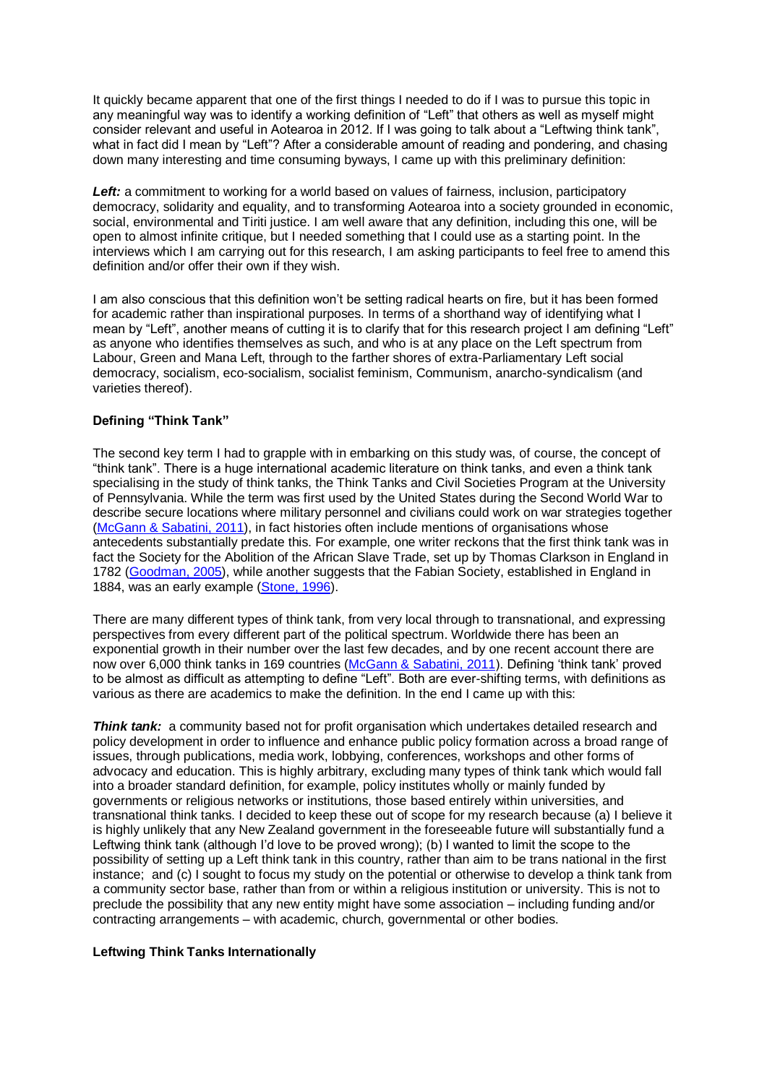It quickly became apparent that one of the first things I needed to do if I was to pursue this topic in any meaningful way was to identify a working definition of "Left" that others as well as myself might consider relevant and useful in Aotearoa in 2012. If I was going to talk about a "Leftwing think tank", what in fact did I mean by "Left"? After a considerable amount of reading and pondering, and chasing down many interesting and time consuming byways, I came up with this preliminary definition:

**Left:** a commitment to working for a world based on values of fairness, inclusion, participatory democracy, solidarity and equality, and to transforming Aotearoa into a society grounded in economic, social, environmental and Tiriti justice. I am well aware that any definition, including this one, will be open to almost infinite critique, but I needed something that I could use as a starting point. In the interviews which I am carrying out for this research, I am asking participants to feel free to amend this definition and/or offer their own if they wish.

I am also conscious that this definition won't be setting radical hearts on fire, but it has been formed for academic rather than inspirational purposes. In terms of a shorthand way of identifying what I mean by "Left", another means of cutting it is to clarify that for this research project I am defining "Left" as anyone who identifies themselves as such, and who is at any place on the Left spectrum from Labour, Green and Mana Left, through to the farther shores of extra-Parliamentary Left social democracy, socialism, eco-socialism, socialist feminism, Communism, anarcho-syndicalism (and varieties thereof).

# **Defining "Think Tank"**

The second key term I had to grapple with in embarking on this study was, of course, the concept of "think tank". There is a huge international academic literature on think tanks, and even a think tank specialising in the study of think tanks, the Think Tanks and Civil Societies Program at the University of Pennsylvania. While the term was first used by the United States during the Second World War to describe secure locations where military personnel and civilians could work on war strategies together [\(McGann & Sabatini, 2011\)](http://www.converge.org.nz/watchdog/30/11.html#_ENREF_15), in fact histories often include mentions of organisations whose antecedents substantially predate this. For example, one writer reckons that the first think tank was in fact the Society for the Abolition of the African Slave Trade, set up by Thomas Clarkson in England in 1782 [\(Goodman, 2005\)](http://www.converge.org.nz/watchdog/30/11.html#_ENREF_10), while another suggests that the Fabian Society, established in England in 1884, was an early example [\(Stone, 1996\)](http://www.converge.org.nz/watchdog/30/11.html#_ENREF_18).

There are many different types of think tank, from very local through to transnational, and expressing perspectives from every different part of the political spectrum. Worldwide there has been an exponential growth in their number over the last few decades, and by one recent account there are now over 6,000 think tanks in 169 countries [\(McGann & Sabatini, 2011\)](http://www.converge.org.nz/watchdog/30/11.html#_ENREF_15). Defining 'think tank' proved to be almost as difficult as attempting to define "Left". Both are ever-shifting terms, with definitions as various as there are academics to make the definition. In the end I came up with this:

**Think tank:** a community based not for profit organisation which undertakes detailed research and policy development in order to influence and enhance public policy formation across a broad range of issues, through publications, media work, lobbying, conferences, workshops and other forms of advocacy and education. This is highly arbitrary, excluding many types of think tank which would fall into a broader standard definition, for example, policy institutes wholly or mainly funded by governments or religious networks or institutions, those based entirely within universities, and transnational think tanks. I decided to keep these out of scope for my research because (a) I believe it is highly unlikely that any New Zealand government in the foreseeable future will substantially fund a Leftwing think tank (although I'd love to be proved wrong); (b) I wanted to limit the scope to the possibility of setting up a Left think tank in this country, rather than aim to be trans national in the first instance; and (c) I sought to focus my study on the potential or otherwise to develop a think tank from a community sector base, rather than from or within a religious institution or university. This is not to preclude the possibility that any new entity might have some association – including funding and/or contracting arrangements – with academic, church, governmental or other bodies.

#### **Leftwing Think Tanks Internationally**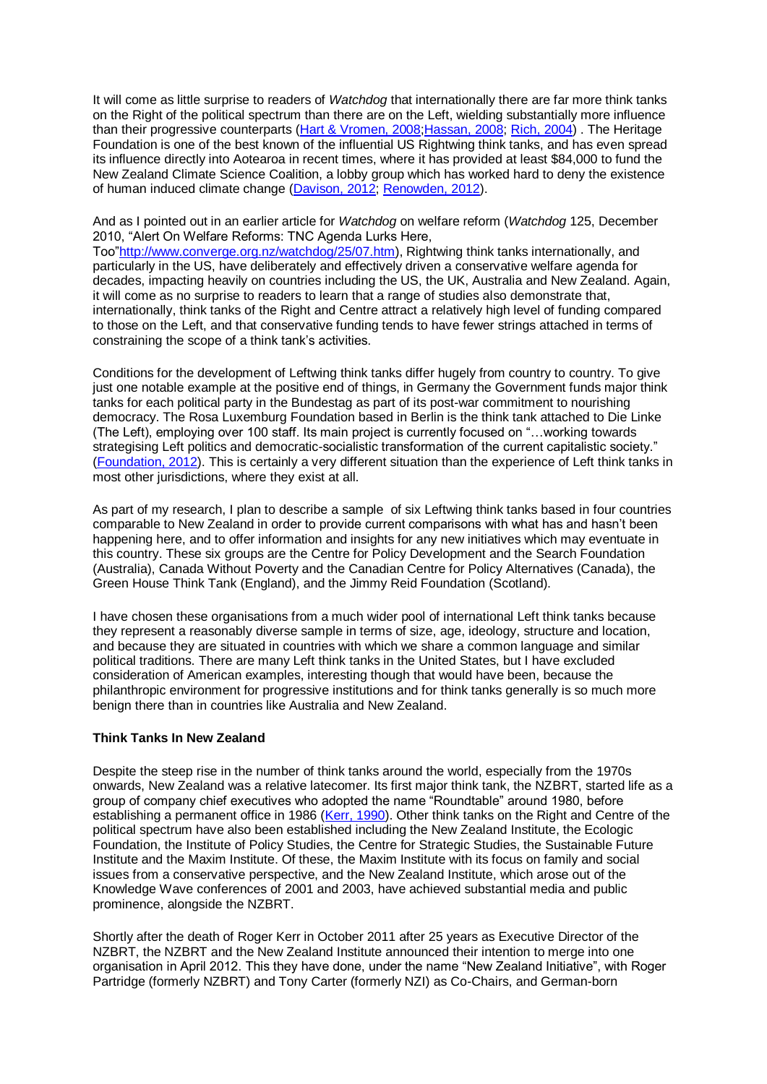It will come as little surprise to readers of *Watchdog* that internationally there are far more think tanks on the Right of the political spectrum than there are on the Left, wielding substantially more influence than their progressive counterparts [\(Hart & Vromen, 2008;](http://www.converge.org.nz/watchdog/30/11.html#_ENREF_1)[Hassan, 2008;](http://www.converge.org.nz/watchdog/30/11.html#_ENREF_11) [Rich, 2004\)](http://www.converge.org.nz/watchdog/30/11.html#_ENREF_17) . The Heritage Foundation is one of the best known of the influential US Rightwing think tanks, and has even spread its influence directly into Aotearoa in recent times, where it has provided at least \$84,000 to fund the New Zealand Climate Science Coalition, a lobby group which has worked hard to deny the existence of human induced climate change [\(Davison, 2012;](http://www.converge.org.nz/watchdog/30/11.html#_ENREF_5) [Renowden, 2012\)](http://www.converge.org.nz/watchdog/30/11.html#_ENREF_16).

And as I pointed out in an earlier article for *Watchdog* on welfare reform (*Watchdog* 125, December 2010, "Alert On Welfare Reforms: TNC Agenda Lurks Here,

Too["http://www.converge.org.nz/watchdog/25/07.htm\)](http://www.converge.org.nz/watchdog/25/07.htm), Rightwing think tanks internationally, and particularly in the US, have deliberately and effectively driven a conservative welfare agenda for decades, impacting heavily on countries including the US, the UK, Australia and New Zealand. Again, it will come as no surprise to readers to learn that a range of studies also demonstrate that, internationally, think tanks of the Right and Centre attract a relatively high level of funding compared to those on the Left, and that conservative funding tends to have fewer strings attached in terms of constraining the scope of a think tank's activities.

Conditions for the development of Leftwing think tanks differ hugely from country to country. To give just one notable example at the positive end of things, in Germany the Government funds major think tanks for each political party in the Bundestag as part of its post-war commitment to nourishing democracy. The Rosa Luxemburg Foundation based in Berlin is the think tank attached to Die Linke (The Left), employing over 100 staff. Its main project is currently focused on "…working towards strategising Left politics and democratic-socialistic transformation of the current capitalistic society." [\(Foundation, 2012\)](http://www.converge.org.nz/watchdog/30/11.html#_ENREF_9). This is certainly a very different situation than the experience of Left think tanks in most other jurisdictions, where they exist at all.

As part of my research, I plan to describe a sample of six Leftwing think tanks based in four countries comparable to New Zealand in order to provide current comparisons with what has and hasn't been happening here, and to offer information and insights for any new initiatives which may eventuate in this country. These six groups are the Centre for Policy Development and the Search Foundation (Australia), Canada Without Poverty and the Canadian Centre for Policy Alternatives (Canada), the Green House Think Tank (England), and the Jimmy Reid Foundation (Scotland).

I have chosen these organisations from a much wider pool of international Left think tanks because they represent a reasonably diverse sample in terms of size, age, ideology, structure and location, and because they are situated in countries with which we share a common language and similar political traditions. There are many Left think tanks in the United States, but I have excluded consideration of American examples, interesting though that would have been, because the philanthropic environment for progressive institutions and for think tanks generally is so much more benign there than in countries like Australia and New Zealand.

#### **Think Tanks In New Zealand**

Despite the steep rise in the number of think tanks around the world, especially from the 1970s onwards, New Zealand was a relative latecomer. Its first major think tank, the NZBRT, started life as a group of company chief executives who adopted the name "Roundtable" around 1980, before establishing a permanent office in 1986 [\(Kerr, 1990\)](http://www.converge.org.nz/watchdog/30/11.html#_ENREF_14). Other think tanks on the Right and Centre of the political spectrum have also been established including the New Zealand Institute, the Ecologic Foundation, the Institute of Policy Studies, the Centre for Strategic Studies, the Sustainable Future Institute and the Maxim Institute. Of these, the Maxim Institute with its focus on family and social issues from a conservative perspective, and the New Zealand Institute, which arose out of the Knowledge Wave conferences of 2001 and 2003, have achieved substantial media and public prominence, alongside the NZBRT.

Shortly after the death of Roger Kerr in October 2011 after 25 years as Executive Director of the NZBRT, the NZBRT and the New Zealand Institute announced their intention to merge into one organisation in April 2012. This they have done, under the name "New Zealand Initiative", with Roger Partridge (formerly NZBRT) and Tony Carter (formerly NZI) as Co-Chairs, and German-born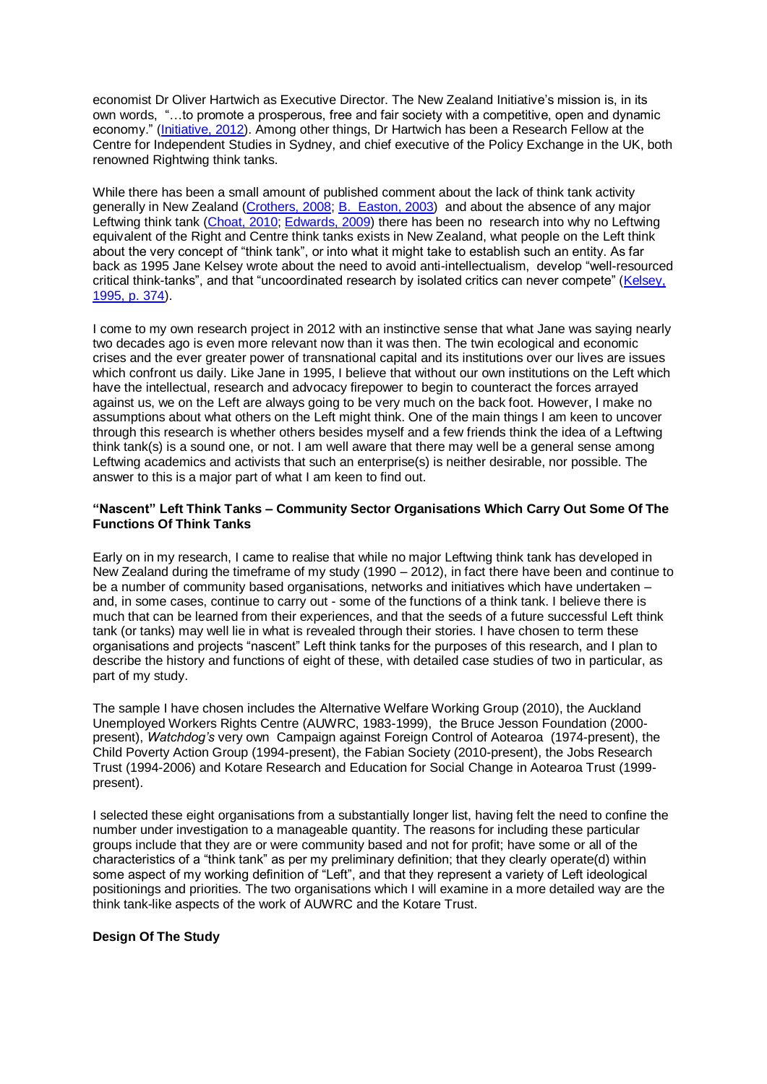economist Dr Oliver Hartwich as Executive Director. The New Zealand Initiative's mission is, in its own words, "…to promote a prosperous, free and fair society with a competitive, open and dynamic economy." [\(Initiative, 2012\)](http://www.converge.org.nz/watchdog/30/11.html#_ENREF_12). Among other things, Dr Hartwich has been a Research Fellow at the Centre for Independent Studies in Sydney, and chief executive of the Policy Exchange in the UK, both renowned Rightwing think tanks.

While there has been a small amount of published comment about the lack of think tank activity generally in New Zealand [\(Crothers, 2008;](http://www.converge.org.nz/watchdog/30/11.html#_ENREF_4) B. [Easton, 2003\)](http://www.converge.org.nz/watchdog/30/11.html#_ENREF_6) and about the absence of any major Leftwing think tank [\(Choat, 2010;](http://www.converge.org.nz/watchdog/30/11.html#_ENREF_3) [Edwards, 2009\)](http://www.converge.org.nz/watchdog/30/11.html#_ENREF_8) there has been no research into why no Leftwing equivalent of the Right and Centre think tanks exists in New Zealand, what people on the Left think about the very concept of "think tank", or into what it might take to establish such an entity. As far back as 1995 Jane Kelsey wrote about the need to avoid anti-intellectualism, develop "well-resourced critical think-tanks", and that "uncoordinated research by isolated critics can never compete" [\(Kelsey,](http://www.converge.org.nz/watchdog/30/11.html#_ENREF_13)  [1995, p. 374\)](http://www.converge.org.nz/watchdog/30/11.html#_ENREF_13).

I come to my own research project in 2012 with an instinctive sense that what Jane was saying nearly two decades ago is even more relevant now than it was then. The twin ecological and economic crises and the ever greater power of transnational capital and its institutions over our lives are issues which confront us daily. Like Jane in 1995, I believe that without our own institutions on the Left which have the intellectual, research and advocacy firepower to begin to counteract the forces arrayed against us, we on the Left are always going to be very much on the back foot. However, I make no assumptions about what others on the Left might think. One of the main things I am keen to uncover through this research is whether others besides myself and a few friends think the idea of a Leftwing think tank(s) is a sound one, or not. I am well aware that there may well be a general sense among Leftwing academics and activists that such an enterprise(s) is neither desirable, nor possible. The answer to this is a major part of what I am keen to find out.

## **"Nascent" Left Think Tanks – Community Sector Organisations Which Carry Out Some Of The Functions Of Think Tanks**

Early on in my research, I came to realise that while no major Leftwing think tank has developed in New Zealand during the timeframe of my study (1990 – 2012), in fact there have been and continue to be a number of community based organisations, networks and initiatives which have undertaken – and, in some cases, continue to carry out - some of the functions of a think tank. I believe there is much that can be learned from their experiences, and that the seeds of a future successful Left think tank (or tanks) may well lie in what is revealed through their stories. I have chosen to term these organisations and projects "nascent" Left think tanks for the purposes of this research, and I plan to describe the history and functions of eight of these, with detailed case studies of two in particular, as part of my study.

The sample I have chosen includes the Alternative Welfare Working Group (2010), the Auckland Unemployed Workers Rights Centre (AUWRC, 1983-1999), the Bruce Jesson Foundation (2000 present), *Watchdog's* very own Campaign against Foreign Control of Aotearoa (1974-present), the Child Poverty Action Group (1994-present), the Fabian Society (2010-present), the Jobs Research Trust (1994-2006) and Kotare Research and Education for Social Change in Aotearoa Trust (1999 present).

I selected these eight organisations from a substantially longer list, having felt the need to confine the number under investigation to a manageable quantity. The reasons for including these particular groups include that they are or were community based and not for profit; have some or all of the characteristics of a "think tank" as per my preliminary definition; that they clearly operate(d) within some aspect of my working definition of "Left", and that they represent a variety of Left ideological positionings and priorities. The two organisations which I will examine in a more detailed way are the think tank-like aspects of the work of AUWRC and the Kotare Trust.

## **Design Of The Study**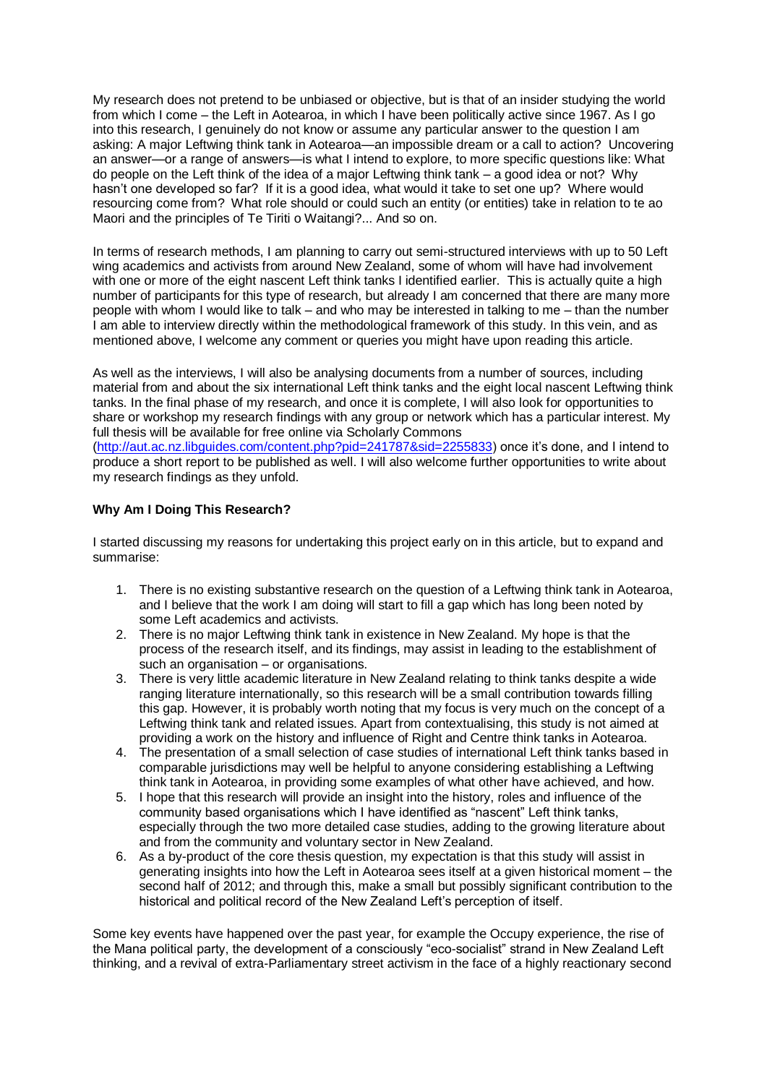My research does not pretend to be unbiased or objective, but is that of an insider studying the world from which I come – the Left in Aotearoa, in which I have been politically active since 1967. As I go into this research, I genuinely do not know or assume any particular answer to the question I am asking: A major Leftwing think tank in Aotearoa—an impossible dream or a call to action? Uncovering an answer—or a range of answers—is what I intend to explore, to more specific questions like: What do people on the Left think of the idea of a major Leftwing think tank – a good idea or not? Why hasn't one developed so far? If it is a good idea, what would it take to set one up? Where would resourcing come from? What role should or could such an entity (or entities) take in relation to te ao Maori and the principles of Te Tiriti o Waitangi?... And so on.

In terms of research methods, I am planning to carry out semi-structured interviews with up to 50 Left wing academics and activists from around New Zealand, some of whom will have had involvement with one or more of the eight nascent Left think tanks I identified earlier. This is actually quite a high number of participants for this type of research, but already I am concerned that there are many more people with whom I would like to talk – and who may be interested in talking to me – than the number I am able to interview directly within the methodological framework of this study. In this vein, and as mentioned above, I welcome any comment or queries you might have upon reading this article.

As well as the interviews, I will also be analysing documents from a number of sources, including material from and about the six international Left think tanks and the eight local nascent Leftwing think tanks. In the final phase of my research, and once it is complete, I will also look for opportunities to share or workshop my research findings with any group or network which has a particular interest. My full thesis will be available for free online via Scholarly Commons [\(http://aut.ac.nz.libguides.com/content.php?pid=241787&sid=2255833\)](http://aut.ac.nz.libguides.com/content.php?pid=241787&sid=2255833) once it's done, and I intend to produce a short report to be published as well. I will also welcome further opportunities to write about my research findings as they unfold.

# **Why Am I Doing This Research?**

I started discussing my reasons for undertaking this project early on in this article, but to expand and summarise:

- 1. There is no existing substantive research on the question of a Leftwing think tank in Aotearoa, and I believe that the work I am doing will start to fill a gap which has long been noted by some Left academics and activists.
- 2. There is no major Leftwing think tank in existence in New Zealand. My hope is that the process of the research itself, and its findings, may assist in leading to the establishment of such an organisation – or organisations.
- 3. There is very little academic literature in New Zealand relating to think tanks despite a wide ranging literature internationally, so this research will be a small contribution towards filling this gap. However, it is probably worth noting that my focus is very much on the concept of a Leftwing think tank and related issues. Apart from contextualising, this study is not aimed at providing a work on the history and influence of Right and Centre think tanks in Aotearoa.
- 4. The presentation of a small selection of case studies of international Left think tanks based in comparable jurisdictions may well be helpful to anyone considering establishing a Leftwing think tank in Aotearoa, in providing some examples of what other have achieved, and how.
- 5. I hope that this research will provide an insight into the history, roles and influence of the community based organisations which I have identified as "nascent" Left think tanks, especially through the two more detailed case studies, adding to the growing literature about and from the community and voluntary sector in New Zealand.
- 6. As a by-product of the core thesis question, my expectation is that this study will assist in generating insights into how the Left in Aotearoa sees itself at a given historical moment – the second half of 2012; and through this, make a small but possibly significant contribution to the historical and political record of the New Zealand Left's perception of itself.

Some key events have happened over the past year, for example the Occupy experience, the rise of the Mana political party, the development of a consciously "eco-socialist" strand in New Zealand Left thinking, and a revival of extra-Parliamentary street activism in the face of a highly reactionary second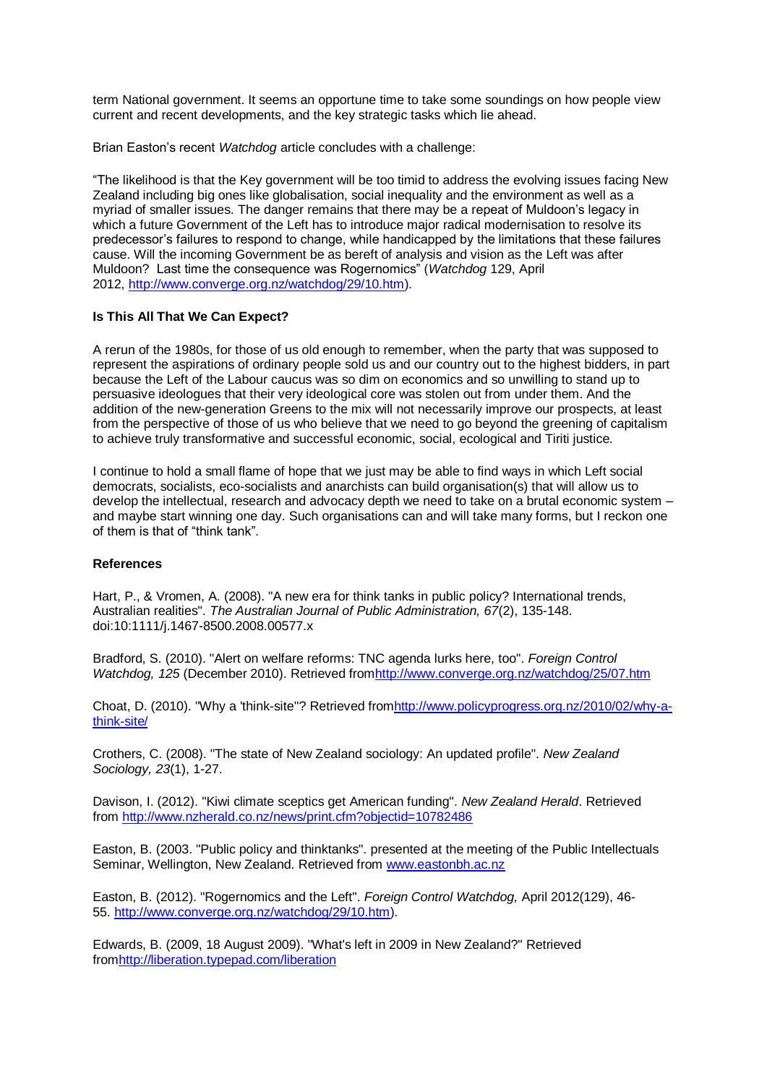term National government. It seems an opportune time to take some soundings on how people view current and recent developments, and the key strategic tasks which lie ahead.

Brian Easton's recent *Watchdog* article concludes with a challenge:

"The likelihood is that the Key government will be too timid to address the evolving issues facing New Zealand including big ones like globalisation, social inequality and the environment as well as a myriad of smaller issues. The danger remains that there may be a repeat of Muldoon's legacy in which a future Government of the Left has to introduce major radical modernisation to resolve its predecessor's failures to respond to change, while handicapped by the limitations that these failures cause. Will the incoming Government be as bereft of analysis and vision as the Left was after Muldoon? Last time the consequence was Rogernomics" (*Watchdog* 129, April 2012, [http://www.converge.org.nz/watchdog/29/10.htm\)](http://www.converge.org.nz/watchdog/29/10.htm).

# **Is This All That We Can Expect?**

A rerun of the 1980s, for those of us old enough to remember, when the party that was supposed to represent the aspirations of ordinary people sold us and our country out to the highest bidders, in part because the Left of the Labour caucus was so dim on economics and so unwilling to stand up to persuasive ideologues that their very ideological core was stolen out from under them. And the addition of the new-generation Greens to the mix will not necessarily improve our prospects, at least from the perspective of those of us who believe that we need to go beyond the greening of capitalism to achieve truly transformative and successful economic, social, ecological and Tiriti justice.

I continue to hold a small flame of hope that we just may be able to find ways in which Left social democrats, socialists, eco-socialists and anarchists can build organisation(s) that will allow us to develop the intellectual, research and advocacy depth we need to take on a brutal economic system – and maybe start winning one day. Such organisations can and will take many forms, but I reckon one of them is that of "think tank".

#### **References**

Hart, P., & Vromen, A. (2008). "A new era for think tanks in public policy? International trends, Australian realities". *The Australian Journal of Public Administration, 67*(2), 135-148. doi:10:1111/j.1467-8500.2008.00577.x

Bradford, S. (2010). "Alert on welfare reforms: TNC agenda lurks here, too". *Foreign Control Watchdog, 125* (December 2010). Retrieved fro[mhttp://www.converge.org.nz/watchdog/25/07.htm](http://www.converge.org.nz/watchdog/25/07.htm)

Choat, D. (2010). "Why a 'think-site"? Retrieved fro[mhttp://www.policyprogress.org.nz/2010/02/why-a](http://www.policyprogress.org.nz/2010/02/why-a-think-site/)[think-site/](http://www.policyprogress.org.nz/2010/02/why-a-think-site/)

Crothers, C. (2008). "The state of New Zealand sociology: An updated profile". *New Zealand Sociology, 23*(1), 1-27.

Davison, I. (2012). "Kiwi climate sceptics get American funding". *New Zealand Herald*. Retrieved from <http://www.nzherald.co.nz/news/print.cfm?objectid=10782486>

Easton, B. (2003. "Public policy and thinktanks". presented at the meeting of the Public Intellectuals Seminar, Wellington, New Zealand. Retrieved from [www.eastonbh.ac.nz](http://www.eastonbh.ac.nz/)

Easton, B. (2012). "Rogernomics and the Left". *Foreign Control Watchdog,* April 2012(129), 46- 55. [http://www.converge.org.nz/watchdog/29/10.htm\)](http://www.converge.org.nz/watchdog/29/10.htm).

Edwards, B. (2009, 18 August 2009). "What's left in 2009 in New Zealand?" Retrieved fro[mhttp://liberation.typepad.com/liberation](http://liberation.typepad.com/liberation)